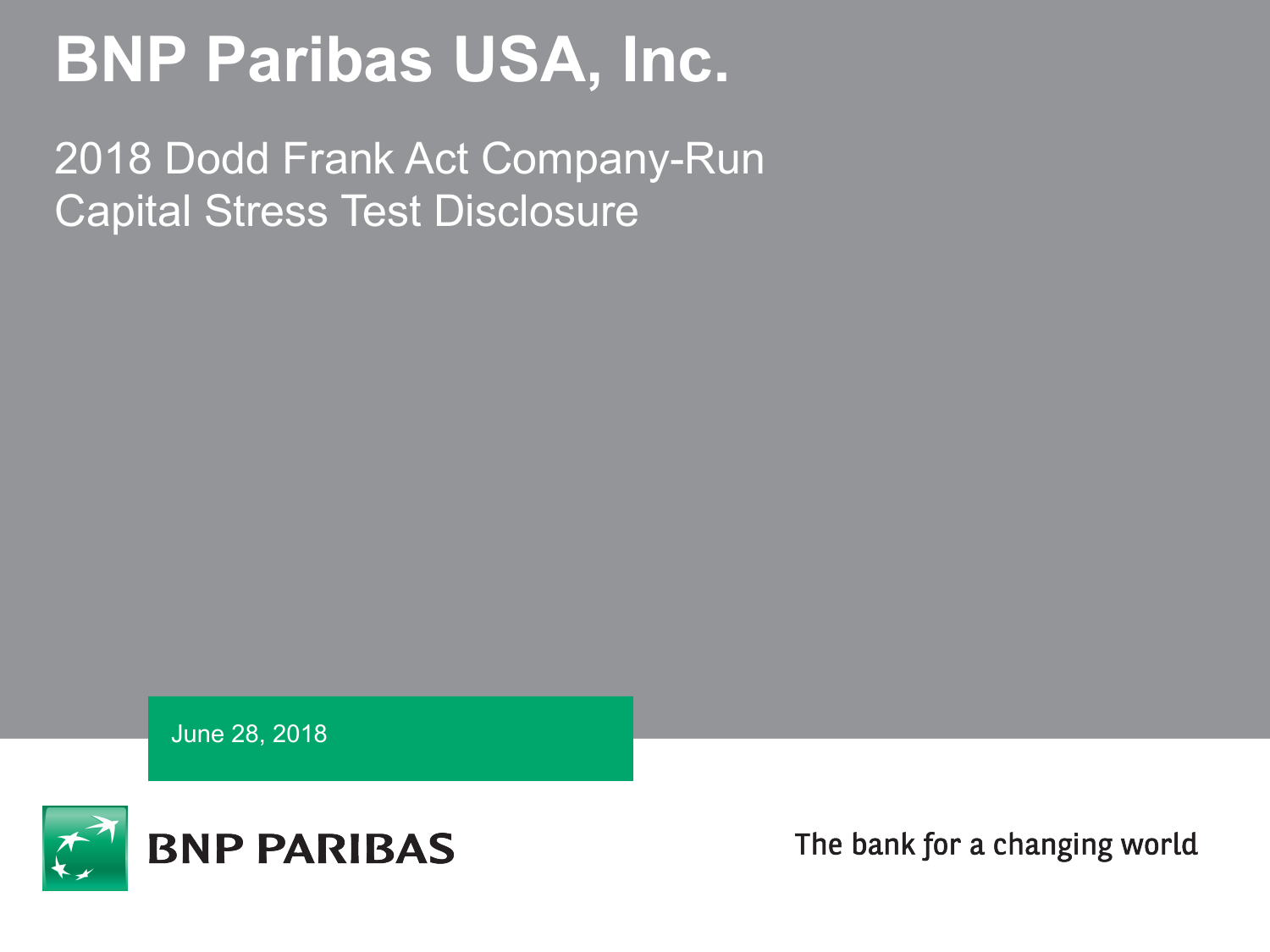# **BNP Paribas USA, Inc.**

2018 Dodd Frank Act Company-Run Capital Stress Test Disclosure

June 28, 2018



The bank for a changing world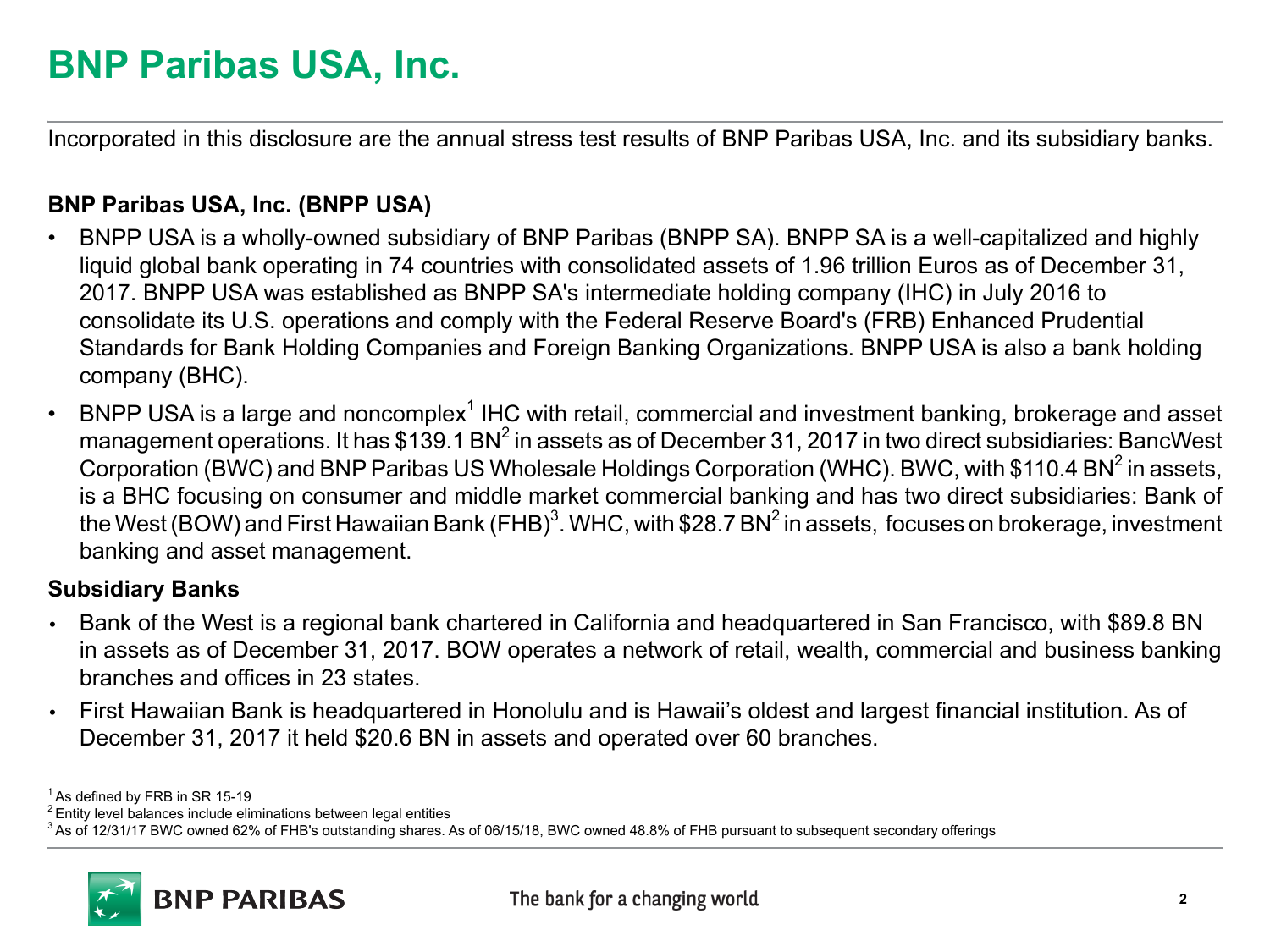# **BNP Paribas USA, Inc.**

Incorporated in this disclosure are the annual stress test results of BNP Paribas USA, Inc. and its subsidiary banks.

#### **BNP Paribas USA, Inc. (BNPP USA)**

- BNPP USA is a wholly-owned subsidiary of BNP Paribas (BNPP SA). BNPP SA is a well-capitalized and highly liquid global bank operating in 74 countries with consolidated assets of 1.96 trillion Euros as of December 31, 2017. BNPP USA was established as BNPP SA's intermediate holding company (IHC) in July 2016 to consolidate its U.S. operations and comply with the Federal Reserve Board's (FRB) Enhanced Prudential Standards for Bank Holding Companies and Foreign Banking Organizations. BNPP USA is also a bank holding company (BHC).
- BNPP USA is a large and noncomplex<sup>1</sup> IHC with retail, commercial and investment banking, brokerage and asset management operations. It has \$139.1 BN $^2$  in assets as of December 31, 2017 in two direct subsidiaries: BancWest Corporation (BWC) and BNP Paribas US Wholesale Holdings Corporation (WHC). BWC, with \$110.4 BN<sup>2</sup> in assets, is a BHC focusing on consumer and middle market commercial banking and has two direct subsidiaries: Bank of the West (BOW) and First Hawaiian Bank (FHB) $^3$ . WHC, with \$28.7 BN $^2$  in assets, focuses on brokerage, investment banking and asset management.

#### **Subsidiary Banks**

- **•** Bank of the West is a regional bank chartered in California and headquartered in San Francisco, with \$89.8 BN in assets as of December 31, 2017. BOW operates a network of retail, wealth, commercial and business banking branches and offices in 23 states.
- **•** First Hawaiian Bank is headquartered in Honolulu and is Hawaii's oldest and largest financial institution. As of December 31, 2017 it held \$20.6 BN in assets and operated over 60 branches.

 $1$ As defined by FRB in SR 15-19

<sup>2</sup> Entity level balances include eliminations between legal entities

<sup>&</sup>lt;sup>3</sup> As of 12/31/17 BWC owned 62% of FHB's outstanding shares. As of 06/15/18, BWC owned 48.8% of FHB pursuant to subsequent secondary offerings

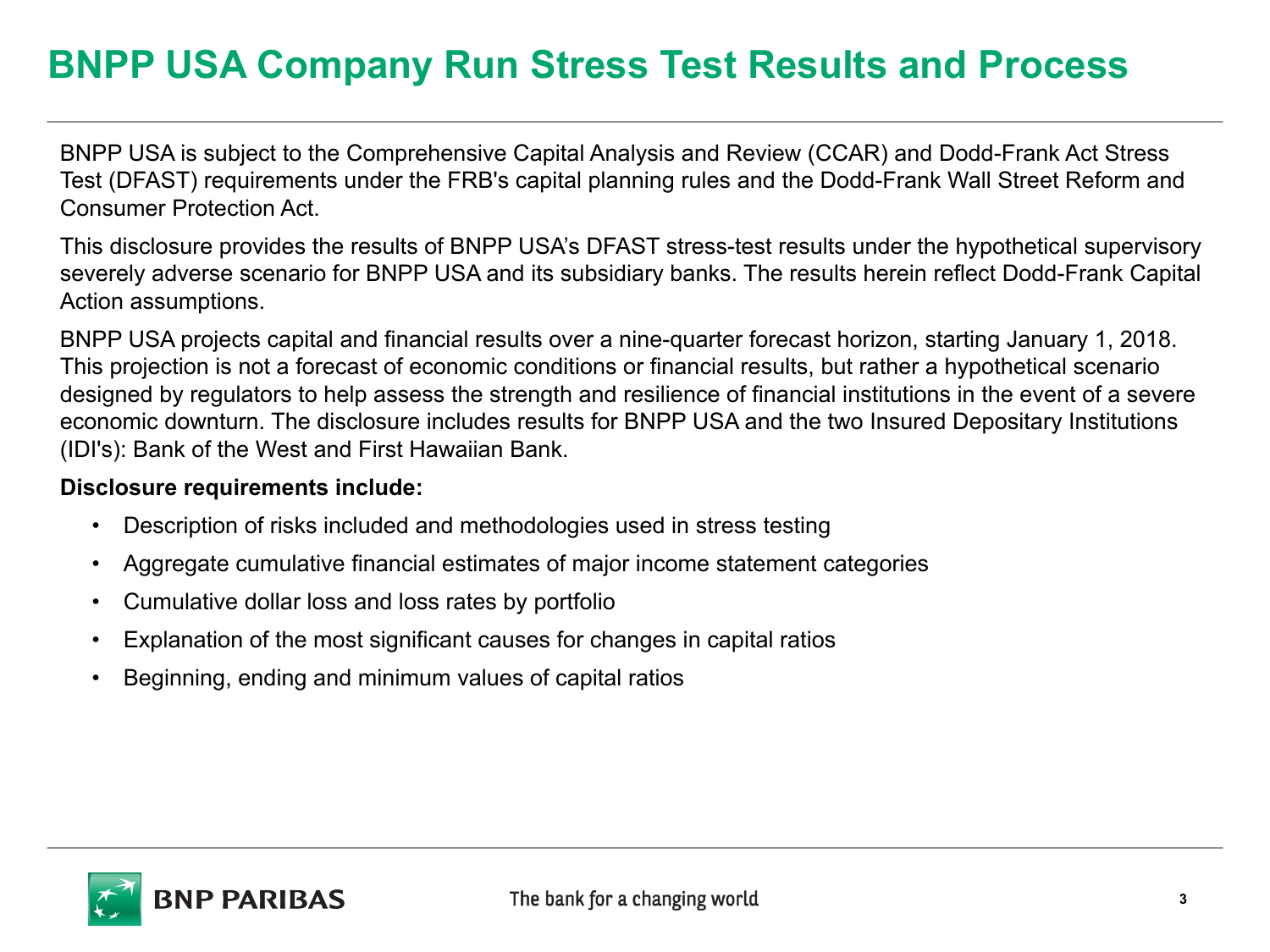# **BNPP USA Company Run Stress Test Results and Process**

BNPP USA is subject to the Comprehensive Capital Analysis and Review (CCAR) and Dodd-Frank Act Stress Test (DFAST) requirements under the FRB's capital planning rules and the Dodd-Frank Wall Street Reform and Consumer Protection Act.

This disclosure provides the results of BNPP USA's DFAST stress-test results under the hypothetical supervisory severely adverse scenario for BNPP USA and its subsidiary banks. The results herein reflect Dodd-Frank Capital Action assumptions.

BNPP USA projects capital and financial results over a nine-quarter forecast horizon, starting January 1, 2018. This projection is not a forecast of economic conditions or financial results, but rather a hypothetical scenario designed by regulators to help assess the strength and resilience of financial institutions in the event of a severe economic downturn. The disclosure includes results for BNPP USA and the two Insured Depositary Institutions (IDI's): Bank of the West and First Hawaiian Bank.

#### **Disclosure requirements include:**

- Description of risks included and methodologies used in stress testing
- Aggregate cumulative financial estimates of major income statement categories
- Cumulative dollar loss and loss rates by portfolio
- Explanation of the most significant causes for changes in capital ratios
- Beginning, ending and minimum values of capital ratios

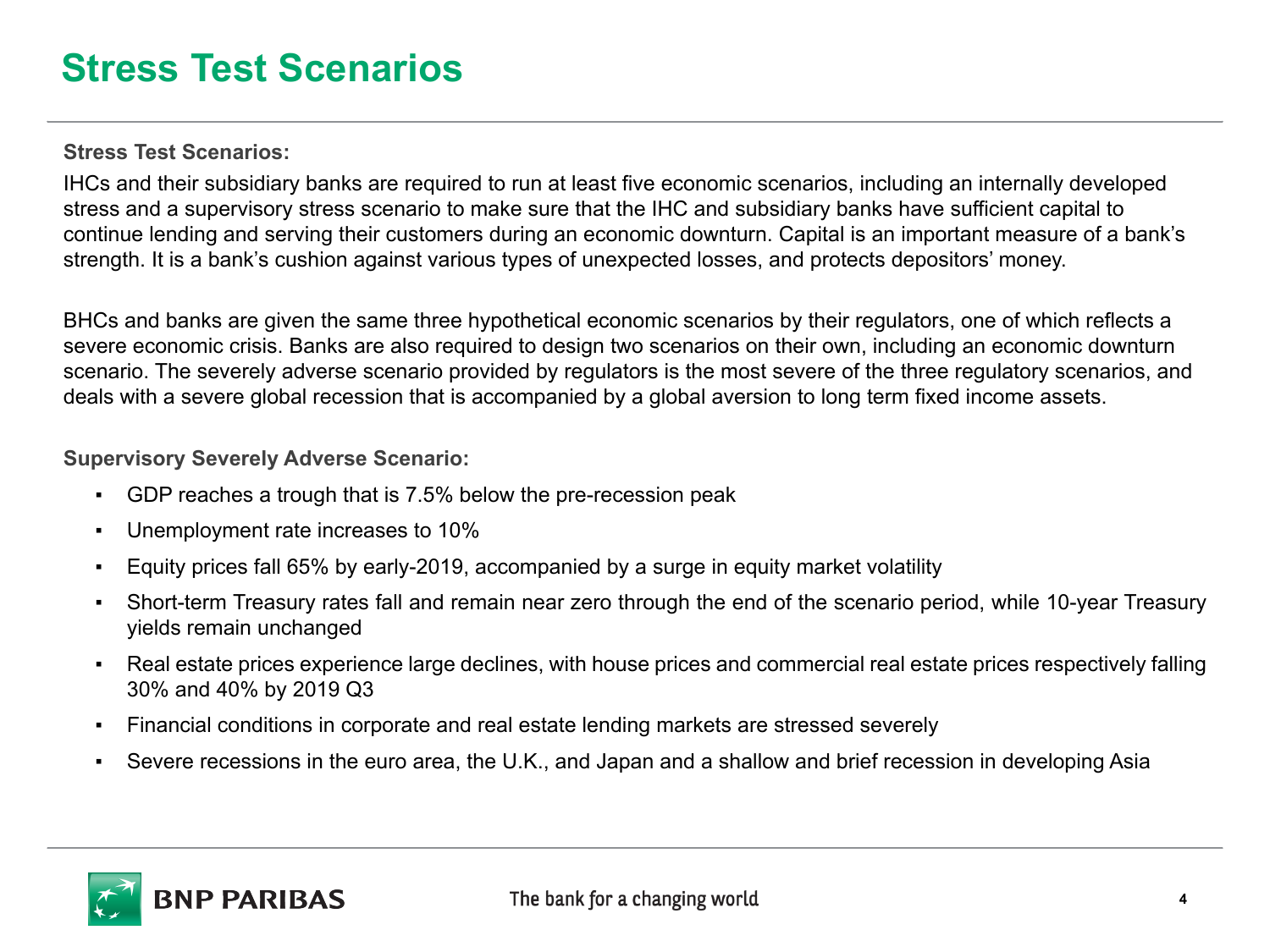### **Stress Test Scenarios**

**Stress Test Scenarios:**

IHCs and their subsidiary banks are required to run at least five economic scenarios, including an internally developed stress and a supervisory stress scenario to make sure that the IHC and subsidiary banks have sufficient capital to continue lending and serving their customers during an economic downturn. Capital is an important measure of a bank's strength. It is a bank's cushion against various types of unexpected losses, and protects depositors' money.

BHCs and banks are given the same three hypothetical economic scenarios by their regulators, one of which reflects a severe economic crisis. Banks are also required to design two scenarios on their own, including an economic downturn scenario. The severely adverse scenario provided by regulators is the most severe of the three regulatory scenarios, and deals with a severe global recession that is accompanied by a global aversion to long term fixed income assets.

**Supervisory Severely Adverse Scenario:**

- GDP reaches a trough that is 7.5% below the pre-recession peak
- Unemployment rate increases to 10%
- Equity prices fall 65% by early-2019, accompanied by a surge in equity market volatility
- Short-term Treasury rates fall and remain near zero through the end of the scenario period, while 10-year Treasury yields remain unchanged
- Real estate prices experience large declines, with house prices and commercial real estate prices respectively falling 30% and 40% by 2019 Q3
- Financial conditions in corporate and real estate lending markets are stressed severely
- Severe recessions in the euro area, the U.K., and Japan and a shallow and brief recession in developing Asia

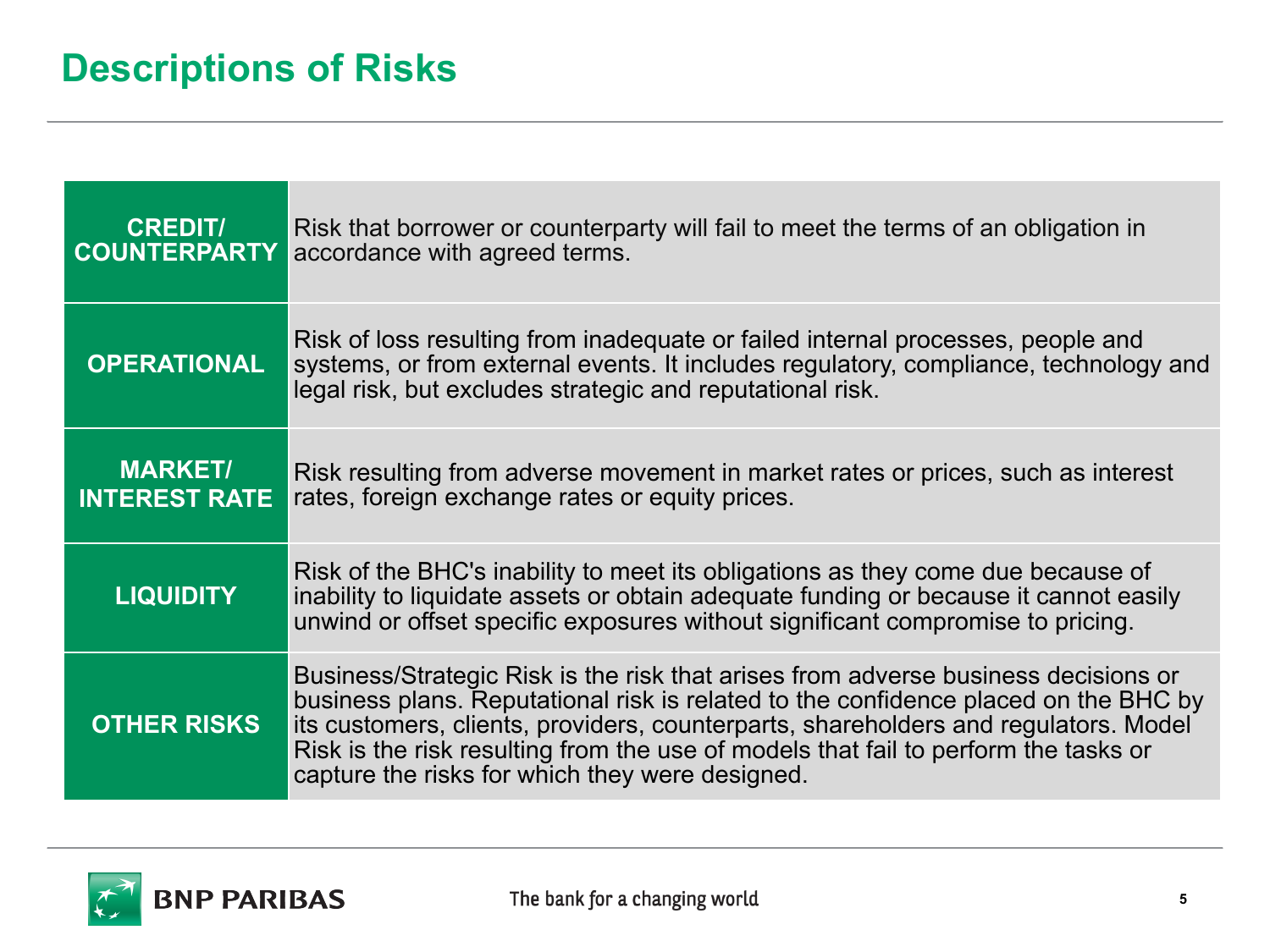### **Descriptions of Risks**

| <b>CREDIT/</b><br><b>COUNTERPARTY</b>  | Risk that borrower or counterparty will fail to meet the terms of an obligation in<br>accordance with agreed terms.                                                                                                                                                                                                                                                                                        |
|----------------------------------------|------------------------------------------------------------------------------------------------------------------------------------------------------------------------------------------------------------------------------------------------------------------------------------------------------------------------------------------------------------------------------------------------------------|
| <b>OPERATIONAL</b>                     | Risk of loss resulting from inadequate or failed internal processes, people and<br>systems, or from external events. It includes regulatory, compliance, technology and<br>legal risk, but excludes strategic and reputational risk.                                                                                                                                                                       |
| <b>MARKET/</b><br><b>INTEREST RATE</b> | Risk resulting from adverse movement in market rates or prices, such as interest<br>rates, foreign exchange rates or equity prices.                                                                                                                                                                                                                                                                        |
| <b>LIQUIDITY</b>                       | Risk of the BHC's inability to meet its obligations as they come due because of<br>inability to liquidate assets or obtain adequate funding or because it cannot easily<br>unwind or offset specific exposures without significant compromise to pricing.                                                                                                                                                  |
| <b>OTHER RISKS</b>                     | Business/Strategic Risk is the risk that arises from adverse business decisions or<br>business plans. Reputational risk is related to the confidence placed on the BHC by<br>its customers, clients, providers, counterparts, shareholders and regulators. Model<br>Risk is the risk resulting from the use of models that fail to perform the tasks or<br>capture the risks for which they were designed. |

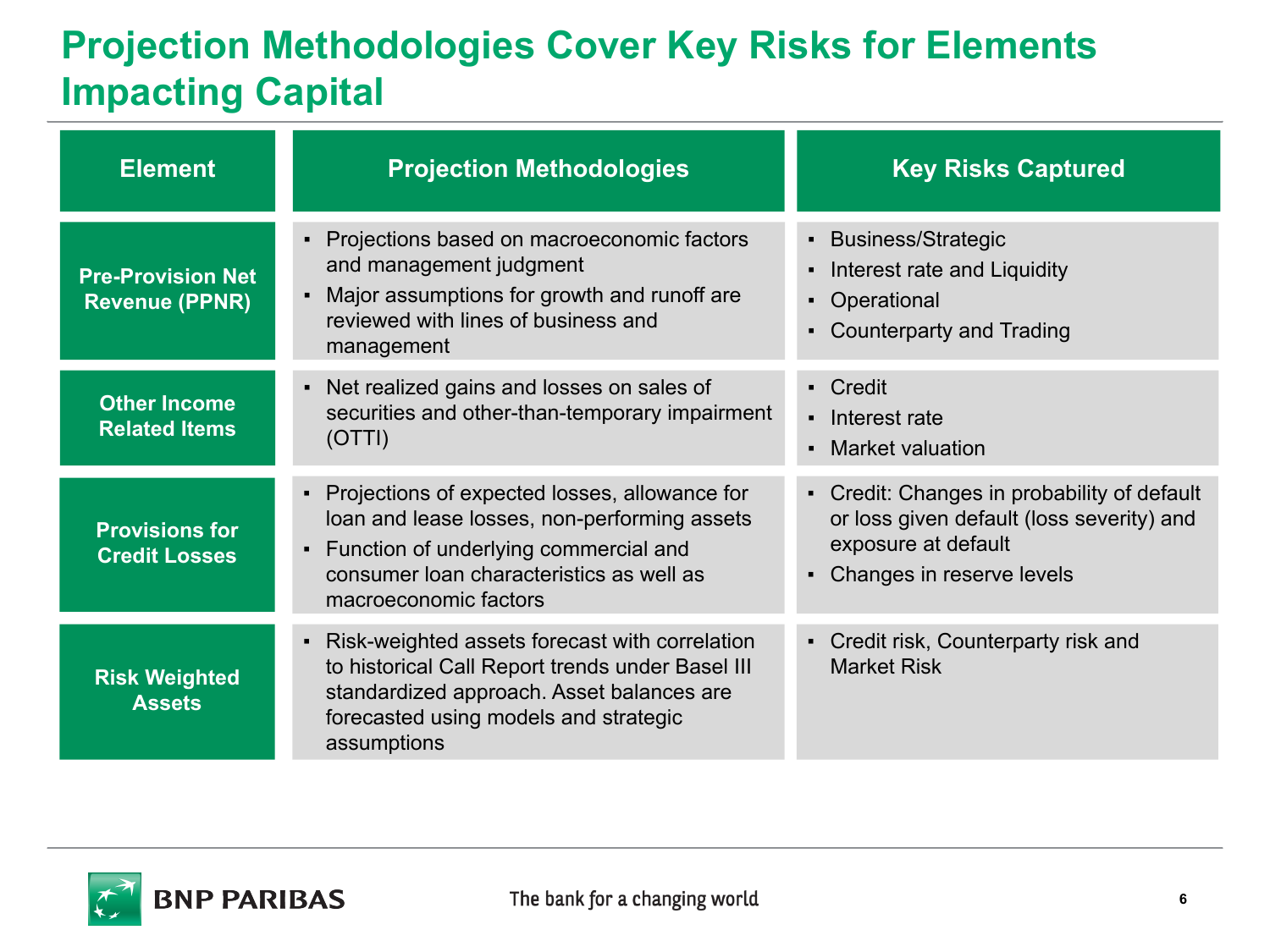# **Projection Methodologies Cover Key Risks for Elements Impacting Capital**

| <b>Element</b>                                    | <b>Projection Methodologies</b>                                                                                                                                                                                 | <b>Key Risks Captured</b>                                                                                                                                        |  |
|---------------------------------------------------|-----------------------------------------------------------------------------------------------------------------------------------------------------------------------------------------------------------------|------------------------------------------------------------------------------------------------------------------------------------------------------------------|--|
| <b>Pre-Provision Net</b><br><b>Revenue (PPNR)</b> | Projections based on macroeconomic factors<br>and management judgment<br>Major assumptions for growth and runoff are<br>reviewed with lines of business and<br>management                                       | • Business/Strategic<br>Interest rate and Liquidity<br>$\blacksquare$<br>• Operational<br><b>Counterparty and Trading</b><br>$\blacksquare$                      |  |
| <b>Other Income</b><br><b>Related Items</b>       | • Net realized gains and losses on sales of<br>securities and other-than-temporary impairment<br>(OTTI)                                                                                                         | - Credit<br>• Interest rate<br>• Market valuation                                                                                                                |  |
| <b>Provisions for</b><br><b>Credit Losses</b>     | • Projections of expected losses, allowance for<br>loan and lease losses, non-performing assets<br>• Function of underlying commercial and<br>consumer loan characteristics as well as<br>macroeconomic factors | • Credit: Changes in probability of default<br>or loss given default (loss severity) and<br>exposure at default<br>Changes in reserve levels<br>$\blacksquare$ . |  |
| <b>Risk Weighted</b><br><b>Assets</b>             | • Risk-weighted assets forecast with correlation<br>to historical Call Report trends under Basel III<br>standardized approach. Asset balances are<br>forecasted using models and strategic<br>assumptions       | • Credit risk, Counterparty risk and<br><b>Market Risk</b>                                                                                                       |  |

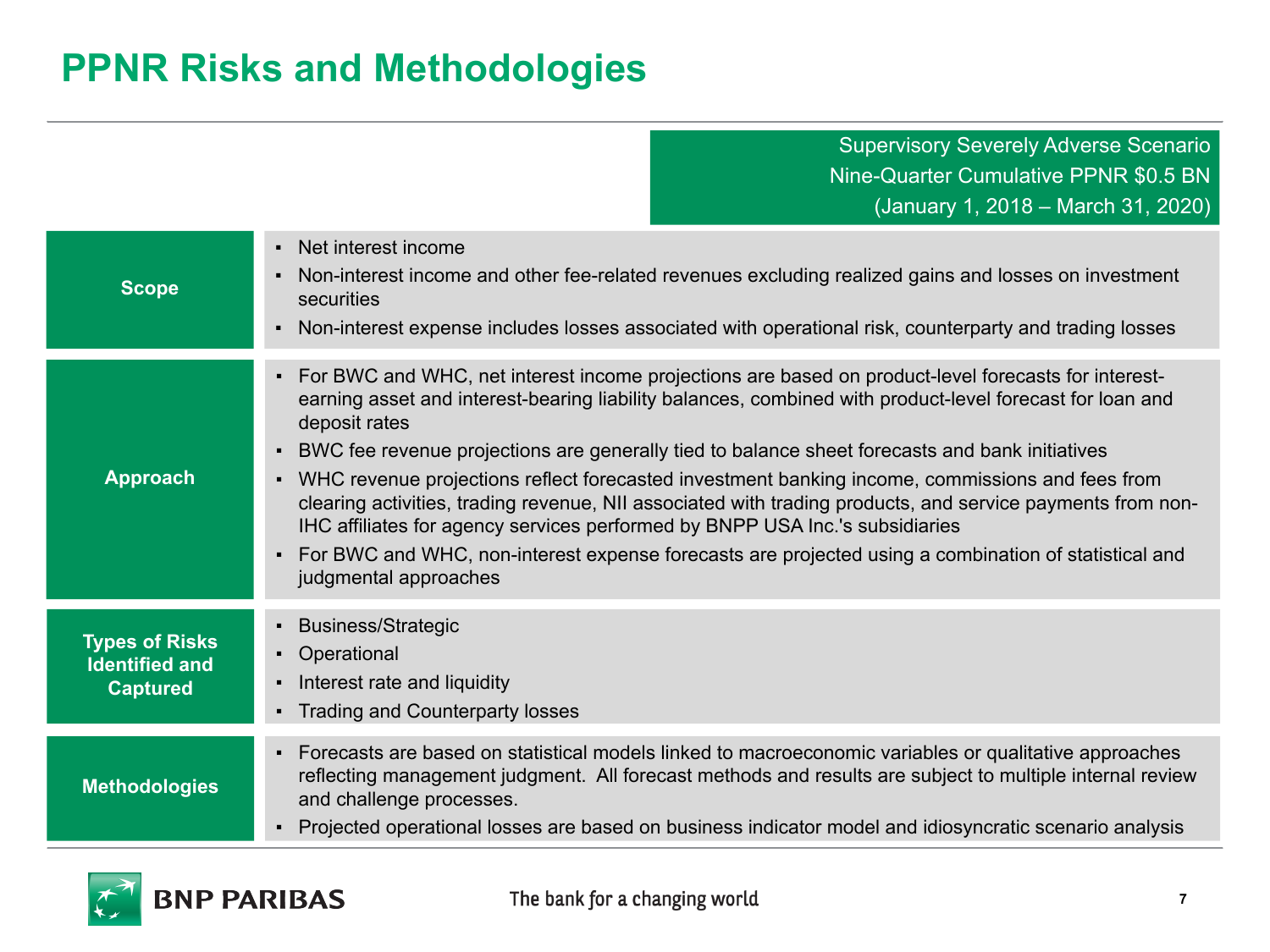## **PPNR Risks and Methodologies**

Supervisory Severely Adverse Scenario Nine-Quarter Cumulative PPNR \$0.5 BN (January 1, 2018 – March 31, 2020)

| <b>Scope</b>                                                      | • Net interest income<br>Non-interest income and other fee-related revenues excluding realized gains and losses on investment<br>٠<br>securities<br>Non-interest expense includes losses associated with operational risk, counterparty and trading losses<br>٠                                                                                                                                                                                                                                                                                                                                                                                                                                                                                                                                                 |
|-------------------------------------------------------------------|-----------------------------------------------------------------------------------------------------------------------------------------------------------------------------------------------------------------------------------------------------------------------------------------------------------------------------------------------------------------------------------------------------------------------------------------------------------------------------------------------------------------------------------------------------------------------------------------------------------------------------------------------------------------------------------------------------------------------------------------------------------------------------------------------------------------|
| <b>Approach</b>                                                   | For BWC and WHC, net interest income projections are based on product-level forecasts for interest-<br>$\blacksquare$<br>earning asset and interest-bearing liability balances, combined with product-level forecast for loan and<br>deposit rates<br>BWC fee revenue projections are generally tied to balance sheet forecasts and bank initiatives<br>٠<br>• WHC revenue projections reflect forecasted investment banking income, commissions and fees from<br>clearing activities, trading revenue, NII associated with trading products, and service payments from non-<br>IHC affiliates for agency services performed by BNPP USA Inc.'s subsidiaries<br>For BWC and WHC, non-interest expense forecasts are projected using a combination of statistical and<br>$\blacksquare$<br>judgmental approaches |
| <b>Types of Risks</b><br><b>Identified and</b><br><b>Captured</b> | • Business/Strategic<br>• Operational<br>Interest rate and liquidity<br>٠<br>• Trading and Counterparty losses                                                                                                                                                                                                                                                                                                                                                                                                                                                                                                                                                                                                                                                                                                  |
| <b>Methodologies</b>                                              | • Forecasts are based on statistical models linked to macroeconomic variables or qualitative approaches<br>reflecting management judgment. All forecast methods and results are subject to multiple internal review<br>and challenge processes.<br>Projected operational losses are based on business indicator model and idiosyncratic scenario analysis<br>٠                                                                                                                                                                                                                                                                                                                                                                                                                                                  |

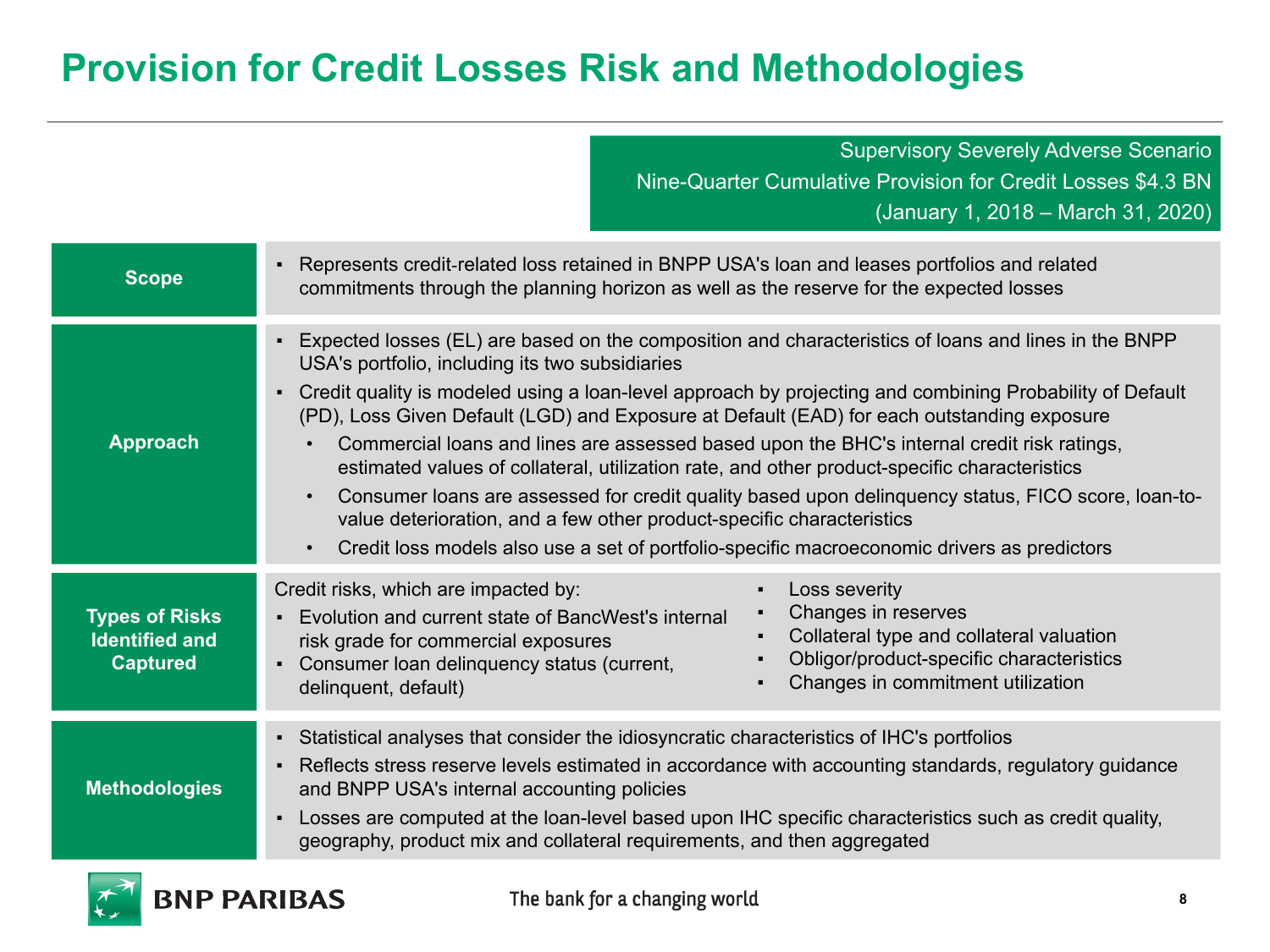# **Provision for Credit Losses Risk and Methodologies**

Supervisory Severely Adverse Scenario Nine-Quarter Cumulative Provision for Credit Losses \$4.3 BN (January 1, 2018 – March 31, 2020)

| <b>Scope</b>                                                      | Represents credit-related loss retained in BNPP USA's loan and leases portfolios and related<br>$\blacksquare$<br>commitments through the planning horizon as well as the reserve for the expected losses                                                                                                                                                                                                                                                                                                                                                                                                                                                                                                                                                                                                                                                                                                                |  |  |  |
|-------------------------------------------------------------------|--------------------------------------------------------------------------------------------------------------------------------------------------------------------------------------------------------------------------------------------------------------------------------------------------------------------------------------------------------------------------------------------------------------------------------------------------------------------------------------------------------------------------------------------------------------------------------------------------------------------------------------------------------------------------------------------------------------------------------------------------------------------------------------------------------------------------------------------------------------------------------------------------------------------------|--|--|--|
| <b>Approach</b>                                                   | Expected losses (EL) are based on the composition and characteristics of loans and lines in the BNPP<br>$\blacksquare$<br>USA's portfolio, including its two subsidiaries<br>Credit quality is modeled using a loan-level approach by projecting and combining Probability of Default<br>$\blacksquare$<br>(PD), Loss Given Default (LGD) and Exposure at Default (EAD) for each outstanding exposure<br>Commercial loans and lines are assessed based upon the BHC's internal credit risk ratings,<br>$\bullet$<br>estimated values of collateral, utilization rate, and other product-specific characteristics<br>Consumer loans are assessed for credit quality based upon delinguency status, FICO score, loan-to-<br>$\bullet$<br>value deterioration, and a few other product-specific characteristics<br>Credit loss models also use a set of portfolio-specific macroeconomic drivers as predictors<br>$\bullet$ |  |  |  |
| <b>Types of Risks</b><br><b>Identified and</b><br><b>Captured</b> | Credit risks, which are impacted by:<br>Loss severity<br>Changes in reserves<br>Evolution and current state of BancWest's internal<br>$\blacksquare$<br>Collateral type and collateral valuation<br>risk grade for commercial exposures<br>Obligor/product-specific characteristics<br>Consumer loan delinquency status (current,<br>Changes in commitment utilization<br>delinquent, default)                                                                                                                                                                                                                                                                                                                                                                                                                                                                                                                           |  |  |  |
| <b>Methodologies</b>                                              | - Statistical analyses that consider the idiosyncratic characteristics of IHC's portfolios<br>Reflects stress reserve levels estimated in accordance with accounting standards, regulatory guidance<br>$\blacksquare$<br>and BNPP USA's internal accounting policies<br>Losses are computed at the loan-level based upon IHC specific characteristics such as credit quality,<br>٠<br>geography, product mix and collateral requirements, and then aggregated                                                                                                                                                                                                                                                                                                                                                                                                                                                            |  |  |  |

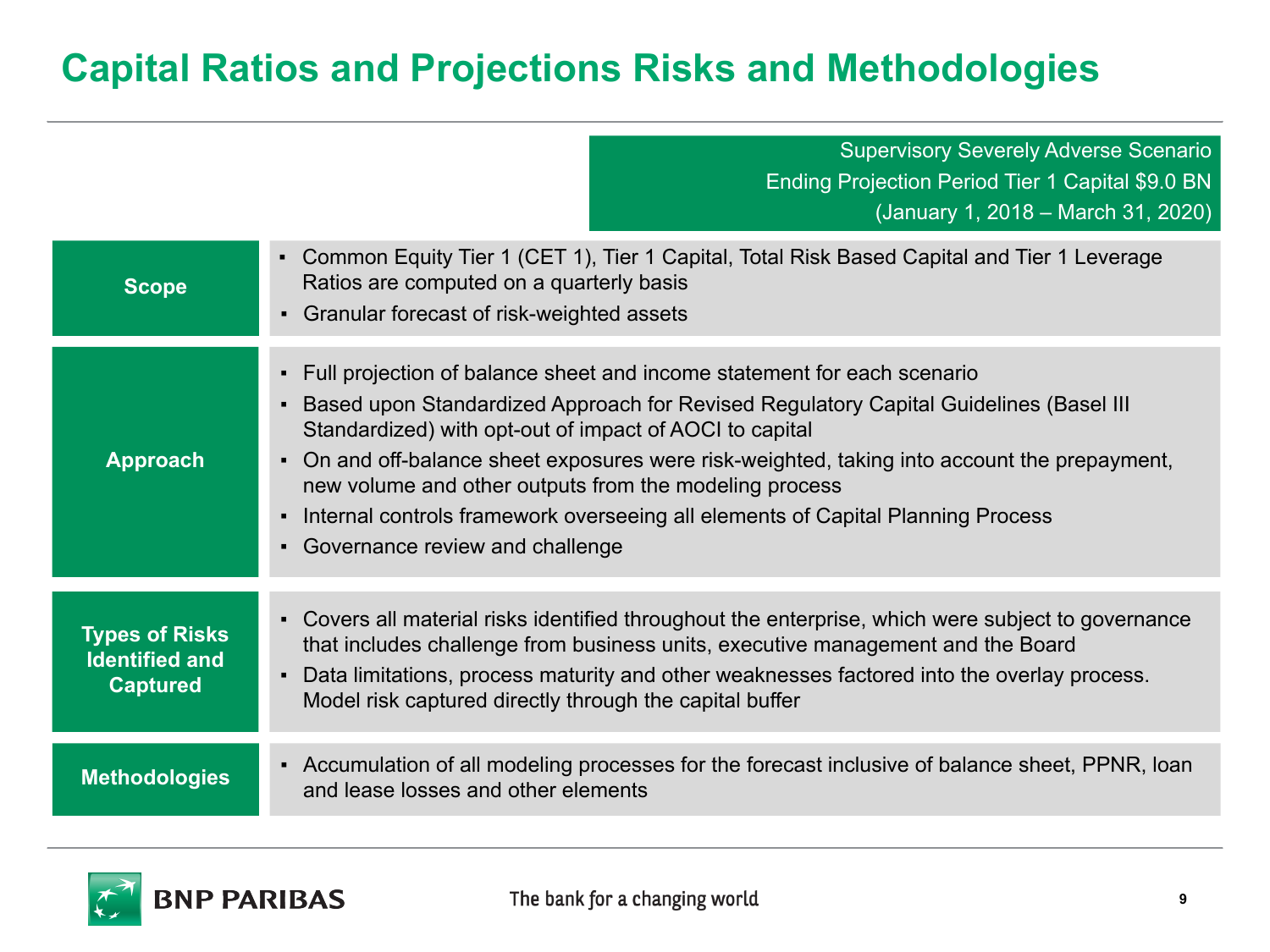## **Capital Ratios and Projections Risks and Methodologies**

Supervisory Severely Adverse Scenario Ending Projection Period Tier 1 Capital \$9.0 BN (January 1, 2018 – March 31, 2020)

| <b>Scope</b>                                                      | • Common Equity Tier 1 (CET 1), Tier 1 Capital, Total Risk Based Capital and Tier 1 Leverage<br>Ratios are computed on a quarterly basis<br>Granular forecast of risk-weighted assets                                                                                                                                                                                                                                                                                                                                                              |
|-------------------------------------------------------------------|----------------------------------------------------------------------------------------------------------------------------------------------------------------------------------------------------------------------------------------------------------------------------------------------------------------------------------------------------------------------------------------------------------------------------------------------------------------------------------------------------------------------------------------------------|
| <b>Approach</b>                                                   | • Full projection of balance sheet and income statement for each scenario<br>Based upon Standardized Approach for Revised Regulatory Capital Guidelines (Basel III)<br>Standardized) with opt-out of impact of AOCI to capital<br>On and off-balance sheet exposures were risk-weighted, taking into account the prepayment,<br>$\blacksquare$<br>new volume and other outputs from the modeling process<br>Internal controls framework overseeing all elements of Capital Planning Process<br>$\blacksquare$<br>• Governance review and challenge |
| <b>Types of Risks</b><br><b>Identified and</b><br><b>Captured</b> | • Covers all material risks identified throughout the enterprise, which were subject to governance<br>that includes challenge from business units, executive management and the Board<br>Data limitations, process maturity and other weaknesses factored into the overlay process.<br>$\blacksquare$<br>Model risk captured directly through the capital buffer                                                                                                                                                                                   |
| <b>Methodologies</b>                                              | • Accumulation of all modeling processes for the forecast inclusive of balance sheet, PPNR, Ioan<br>and lease losses and other elements                                                                                                                                                                                                                                                                                                                                                                                                            |

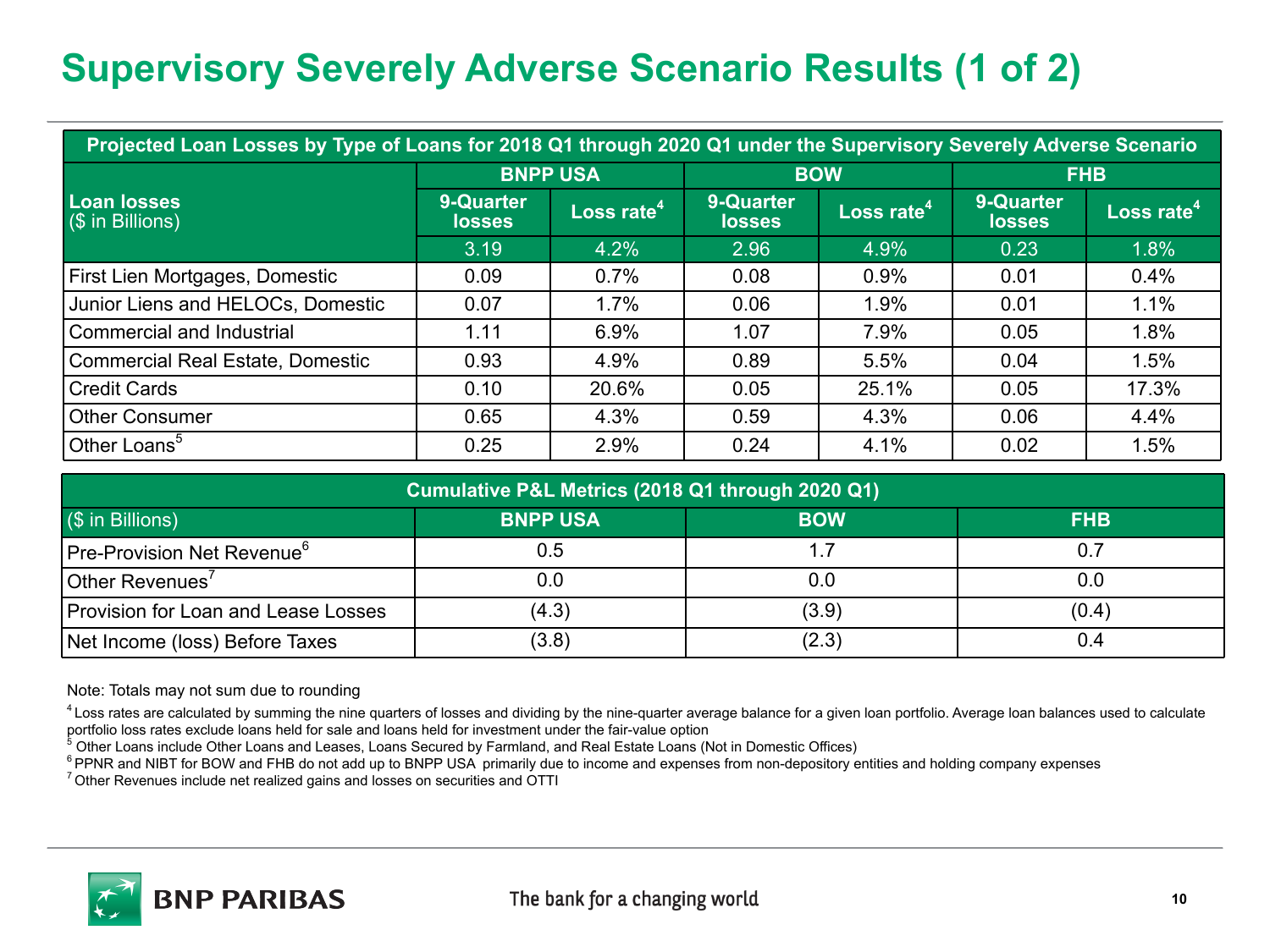# **Supervisory Severely Adverse Scenario Results (1 of 2)**

| Projected Loan Losses by Type of Loans for 2018 Q1 through 2020 Q1 under the Supervisory Severely Adverse Scenario |                            |                        |                            |                        |                            |                        |
|--------------------------------------------------------------------------------------------------------------------|----------------------------|------------------------|----------------------------|------------------------|----------------------------|------------------------|
|                                                                                                                    | <b>BNPP USA</b>            |                        | <b>BOW</b>                 |                        | <b>FHB</b>                 |                        |
| <b>Loan losses</b><br>$(\$$ in Billions)                                                                           | 9-Quarter<br><b>losses</b> | Loss rate <sup>4</sup> | 9-Quarter<br><b>losses</b> | Loss rate <sup>4</sup> | 9-Quarter<br><b>losses</b> | Loss rate <sup>4</sup> |
|                                                                                                                    | 3.19                       | 4.2%                   | 2.96                       | 4.9%                   | 0.23                       | 1.8%                   |
| First Lien Mortgages, Domestic                                                                                     | 0.09                       | 0.7%                   | 0.08                       | 0.9%                   | 0.01                       | 0.4%                   |
| Junior Liens and HELOCs, Domestic                                                                                  | 0.07                       | 1.7%                   | 0.06                       | 1.9%                   | 0.01                       | 1.1%                   |
| Commercial and Industrial                                                                                          | 1.11                       | 6.9%                   | 1.07                       | 7.9%                   | 0.05                       | 1.8%                   |
| Commercial Real Estate, Domestic                                                                                   | 0.93                       | 4.9%                   | 0.89                       | 5.5%                   | 0.04                       | 1.5%                   |
| Credit Cards                                                                                                       | 0.10                       | 20.6%                  | 0.05                       | 25.1%                  | 0.05                       | 17.3%                  |
| Other Consumer                                                                                                     | 0.65                       | 4.3%                   | 0.59                       | 4.3%                   | 0.06                       | 4.4%                   |
| Other Loans <sup>5</sup>                                                                                           | 0.25                       | 2.9%                   | 0.24                       | 4.1%                   | 0.02                       | 1.5%                   |

| Cumulative P&L Metrics (2018 Q1 through 2020 Q1) |                 |            |            |  |  |
|--------------------------------------------------|-----------------|------------|------------|--|--|
| (\$ in Billions)                                 | <b>BNPP USA</b> | <b>BOW</b> | <b>FHB</b> |  |  |
| Pre-Provision Net Revenue <sup>o</sup>           | 0.5             |            | 0.7        |  |  |
| Other Revenues <sup>'</sup>                      | 0.0             | 0.0        | 0.0        |  |  |
| Provision for Loan and Lease Losses              | (4.3)           | (3.9)      | (0.4)      |  |  |
| Net Income (loss) Before Taxes                   | (3.8)           | (2.3)      | 0.4        |  |  |

Note: Totals may not sum due to rounding

<sup>4</sup> Loss rates are calculated by summing the nine quarters of losses and dividing by the nine-quarter average balance for a given loan portfolio. Average loan balances used to calculate portfolio loss rates exclude loans held for sale and loans held for investment under the fair-value option

 $^5$  Other Loans include Other Loans and Leases, Loans Secured by Farmland, and Real Estate Loans (Not in Domestic Offices)

<sup>6</sup> PPNR and NIBT for BOW and FHB do not add up to BNPP USA primarily due to income and expenses from non-depository entities and holding company expenses

<sup>7</sup> Other Revenues include net realized gains and losses on securities and OTTI

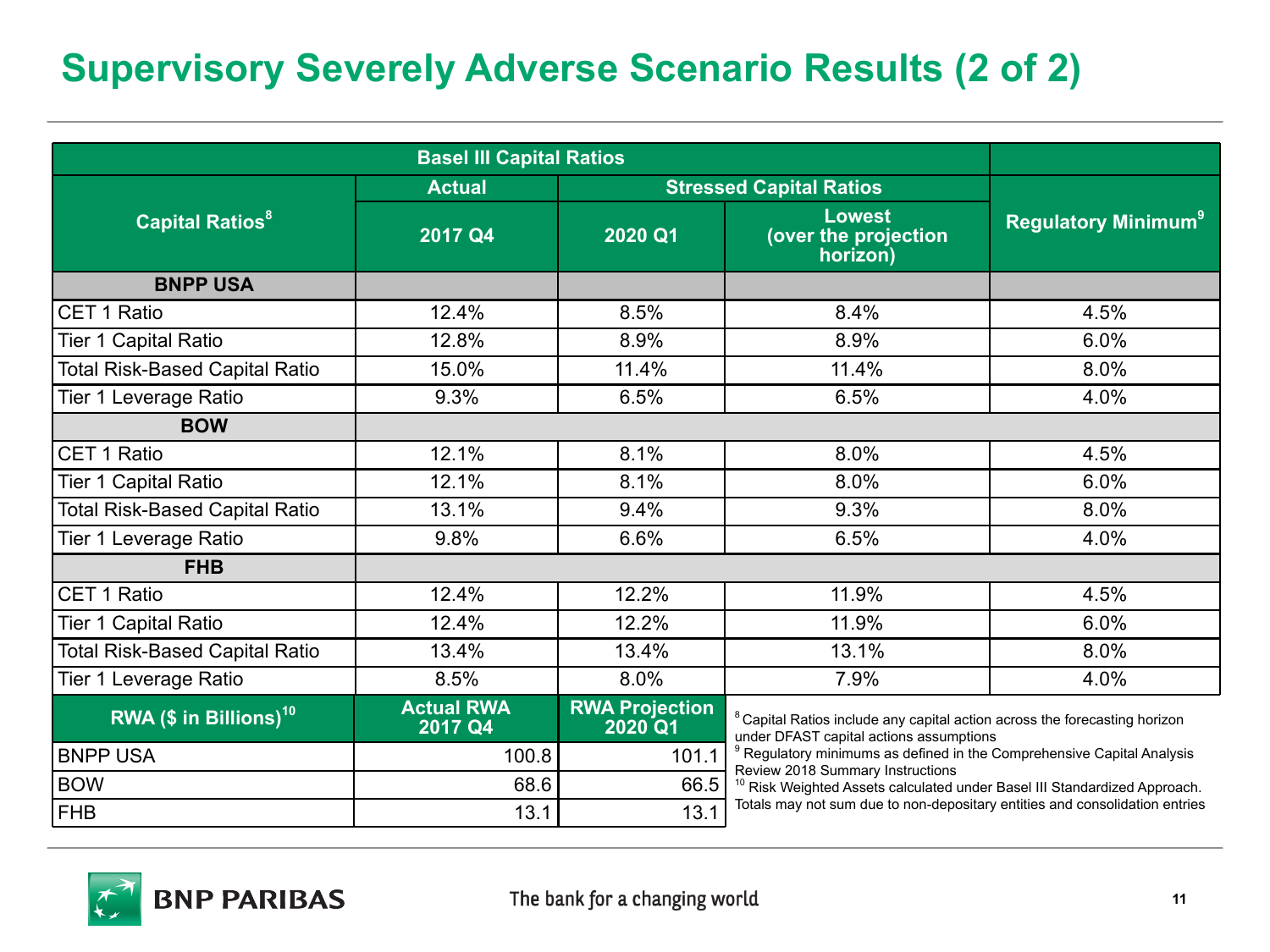# **Supervisory Severely Adverse Scenario Results (2 of 2)**

| <b>Basel III Capital Ratios</b>       |                              |                                  |                                                                                                                                  |                                       |  |
|---------------------------------------|------------------------------|----------------------------------|----------------------------------------------------------------------------------------------------------------------------------|---------------------------------------|--|
|                                       | <b>Actual</b>                | <b>Stressed Capital Ratios</b>   |                                                                                                                                  |                                       |  |
| <b>Capital Ratios<sup>8</sup></b>     | 2017 Q4                      | 2020 Q1                          | <b>Lowest</b><br>(over the projection<br>horizon)                                                                                | <b>Regulatory Minimum<sup>9</sup></b> |  |
| <b>BNPP USA</b>                       |                              |                                  |                                                                                                                                  |                                       |  |
| CET 1 Ratio                           | 12.4%                        | 8.5%                             | 8.4%                                                                                                                             | 4.5%                                  |  |
| Tier 1 Capital Ratio                  | 12.8%                        | 8.9%                             | 8.9%                                                                                                                             | 6.0%                                  |  |
| <b>Total Risk-Based Capital Ratio</b> | 15.0%                        | 11.4%                            | 11.4%                                                                                                                            | 8.0%                                  |  |
| Tier 1 Leverage Ratio                 | 9.3%                         | 6.5%                             | 6.5%                                                                                                                             | 4.0%                                  |  |
| <b>BOW</b>                            |                              |                                  |                                                                                                                                  |                                       |  |
| CET 1 Ratio                           | 12.1%                        | 8.1%                             | 8.0%                                                                                                                             | 4.5%                                  |  |
| Tier 1 Capital Ratio                  | 12.1%                        | 8.1%                             | 8.0%                                                                                                                             | 6.0%                                  |  |
| <b>Total Risk-Based Capital Ratio</b> | 13.1%                        | 9.4%                             | 9.3%                                                                                                                             | 8.0%                                  |  |
| Tier 1 Leverage Ratio                 | 9.8%                         | 6.6%                             | 6.5%                                                                                                                             | 4.0%                                  |  |
| <b>FHB</b>                            |                              |                                  |                                                                                                                                  |                                       |  |
| CET 1 Ratio                           | 12.4%                        | 12.2%                            | 11.9%                                                                                                                            | 4.5%                                  |  |
| Tier 1 Capital Ratio                  | 12.4%                        | 12.2%                            | 11.9%                                                                                                                            | 6.0%                                  |  |
| <b>Total Risk-Based Capital Ratio</b> | 13.4%                        | 13.4%                            | 13.1%                                                                                                                            | 8.0%                                  |  |
| Tier 1 Leverage Ratio                 | 8.5%                         | 8.0%                             | 7.9%                                                                                                                             | 4.0%                                  |  |
| RWA (\$ in Billions) $10$             | <b>Actual RWA</b><br>2017 Q4 | <b>RWA Projection</b><br>2020 Q1 | <sup>8</sup> Capital Ratios include any capital action across the forecasting horizon<br>under DFAST capital actions assumptions |                                       |  |
| <b>BNPP USA</b>                       | 100.8                        | 101.1                            | <sup>9</sup> Regulatory minimums as defined in the Comprehensive Capital Analysis<br>Review 2018 Summary Instructions            |                                       |  |
| <b>BOW</b>                            | 68.6                         | 66.5                             | <sup>10</sup> Risk Weighted Assets calculated under Basel III Standardized Approach.                                             |                                       |  |
| FHB                                   | 13.1                         | 13.1                             | Totals may not sum due to non-depositary entities and consolidation entries                                                      |                                       |  |

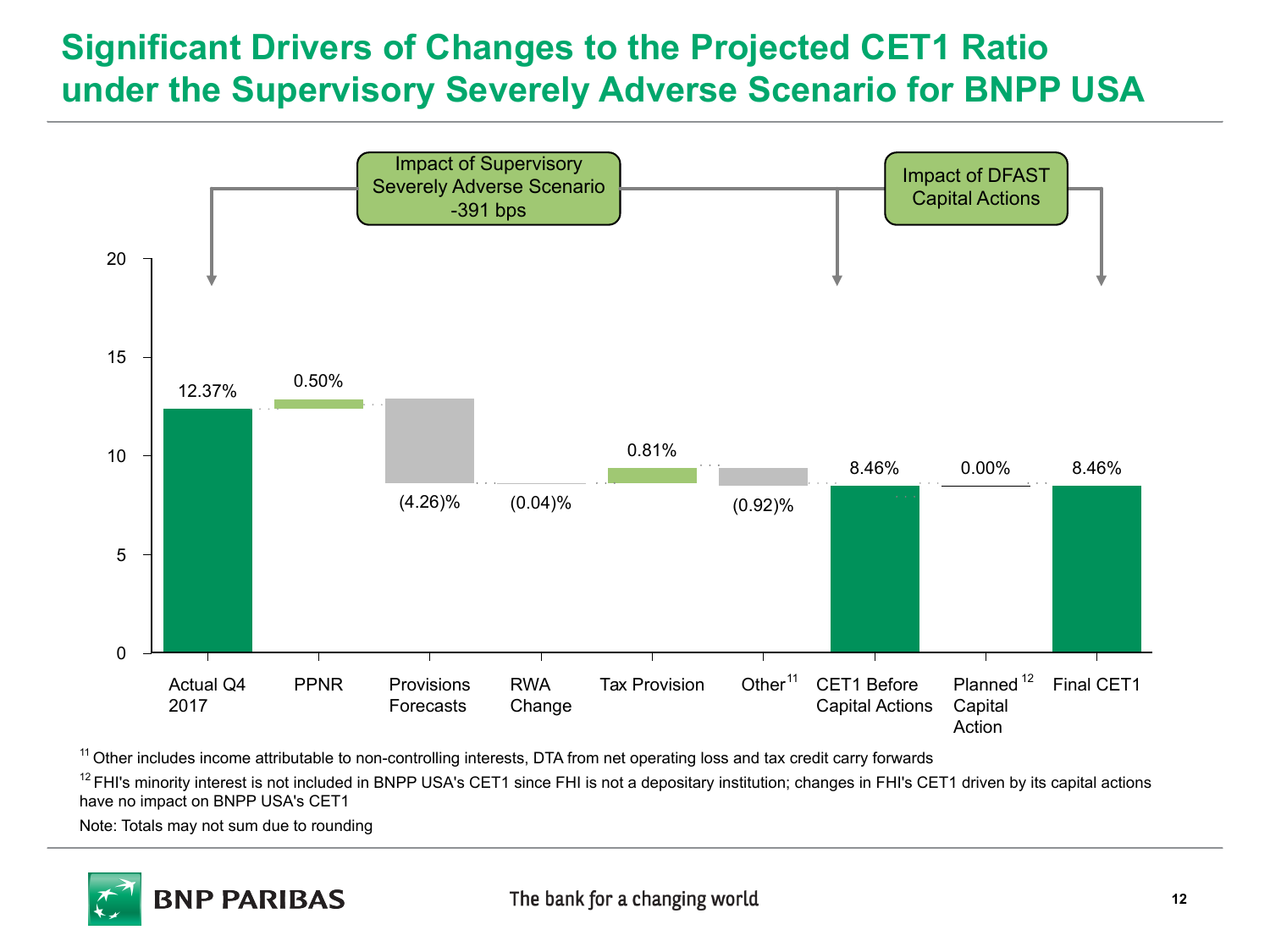#### **Significant Drivers of Changes to the Projected CET1 Ratio under the Supervisory Severely Adverse Scenario for BNPP USA**



<sup>11</sup> Other includes income attributable to non-controlling interests, DTA from net operating loss and tax credit carry forwards

<sup>12</sup> FHI's minority interest is not included in BNPP USA's CET1 since FHI is not a depositary institution; changes in FHI's CET1 driven by its capital actions have no impact on BNPP USA's CET1

Note: Totals may not sum due to rounding